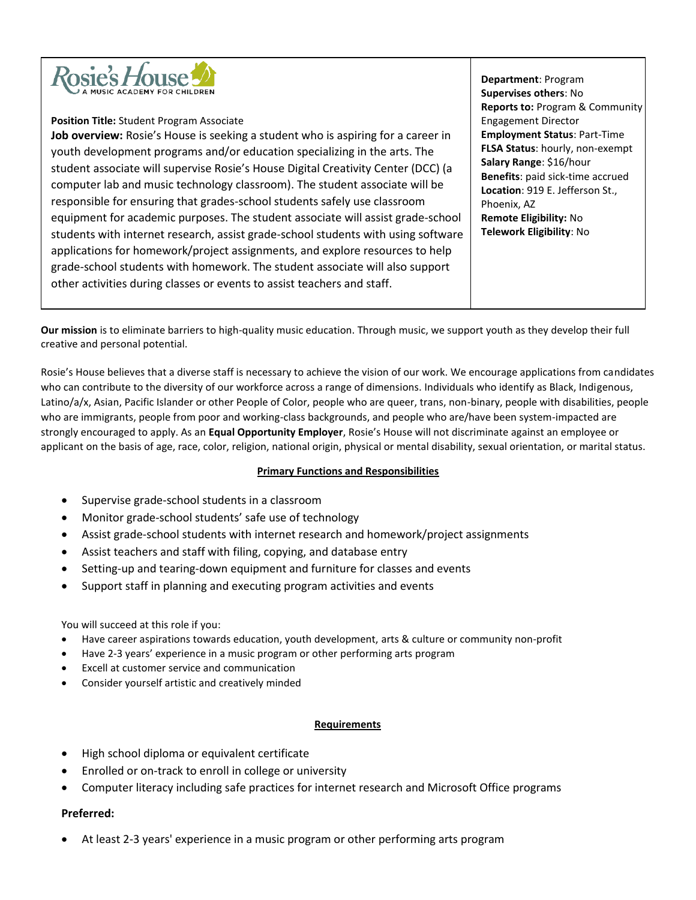

## **Position Title:** Student Program Associate

**Job overview:** Rosie's House is seeking a student who is aspiring for a career in youth development programs and/or education specializing in the arts. The student associate will supervise Rosie's House Digital Creativity Center (DCC) (a computer lab and music technology classroom). The student associate will be responsible for ensuring that grades-school students safely use classroom equipment for academic purposes. The student associate will assist grade-school students with internet research, assist grade-school students with using software applications for homework/project assignments, and explore resources to help grade-school students with homework. The student associate will also support other activities during classes or events to assist teachers and staff.

**Department**: Program **Supervises others**: No **Reports to:** Program & Community Engagement Director **Employment Status**: Part-Time **FLSA Status**: hourly, non-exempt **Salary Range**: \$16/hour **Benefits**: paid sick-time accrued **Location**: 919 E. Jefferson St., Phoenix, AZ **Remote Eligibility:** No **Telework Eligibility**: No

**Our mission** is to eliminate barriers to high-quality music education. Through music, we support youth as they develop their full creative and personal potential.

Rosie's House believes that a diverse staff is necessary to achieve the vision of our work. We encourage applications from candidates who can contribute to the diversity of our workforce across a range of dimensions. Individuals who identify as Black, Indigenous, Latino/a/x, Asian, Pacific Islander or other People of Color, people who are queer, trans, non-binary, people with disabilities, people who are immigrants, people from poor and working-class backgrounds, and people who are/have been system-impacted are strongly encouraged to apply. As an **Equal Opportunity Employer**, Rosie's House will not discriminate against an employee or applicant on the basis of age, race, color, religion, national origin, physical or mental disability, sexual orientation, or marital status.

# **Primary Functions and Responsibilities**

- Supervise grade-school students in a classroom
- Monitor grade-school students' safe use of technology
- Assist grade-school students with internet research and homework/project assignments
- Assist teachers and staff with filing, copying, and database entry
- Setting-up and tearing-down equipment and furniture for classes and events
- Support staff in planning and executing program activities and events

# You will succeed at this role if you:

- Have career aspirations towards education, youth development, arts & culture or community non-profit
- Have 2-3 years' experience in a music program or other performing arts program
- Excell at customer service and communication
- Consider yourself artistic and creatively minded

### **Requirements**

- High school diploma or equivalent certificate
- Enrolled or on-track to enroll in college or university
- Computer literacy including safe practices for internet research and Microsoft Office programs

# **Preferred:**

• At least 2-3 years' experience in a music program or other performing arts program